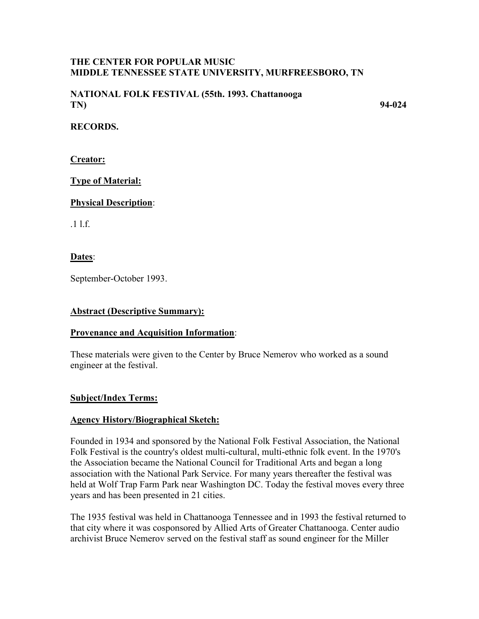### **THE CENTER FOR POPULAR MUSIC MIDDLE TENNESSEE STATE UNIVERSITY, MURFREESBORO, TN**

### **NATIONAL FOLK FESTIVAL (55th. 1993. Chattanooga TN) 94-024**

### **RECORDS.**

**Creator:**

# **Type of Material:**

### **Physical Description**:

.1 l.f.

**Dates**:

September-October 1993.

## **Abstract (Descriptive Summary):**

# **Provenance and Acquisition Information**:

These materials were given to the Center by Bruce Nemerov who worked as a sound engineer at the festival.

# **Subject/Index Terms:**

#### **Agency History/Biographical Sketch:**

Founded in 1934 and sponsored by the National Folk Festival Association, the National Folk Festival is the country's oldest multi-cultural, multi-ethnic folk event. In the 1970's the Association became the National Council for Traditional Arts and began a long association with the National Park Service. For many years thereafter the festival was held at Wolf Trap Farm Park near Washington DC. Today the festival moves every three years and has been presented in 21 cities.

The 1935 festival was held in Chattanooga Tennessee and in 1993 the festival returned to that city where it was cosponsored by Allied Arts of Greater Chattanooga. Center audio archivist Bruce Nemerov served on the festival staff as sound engineer for the Miller